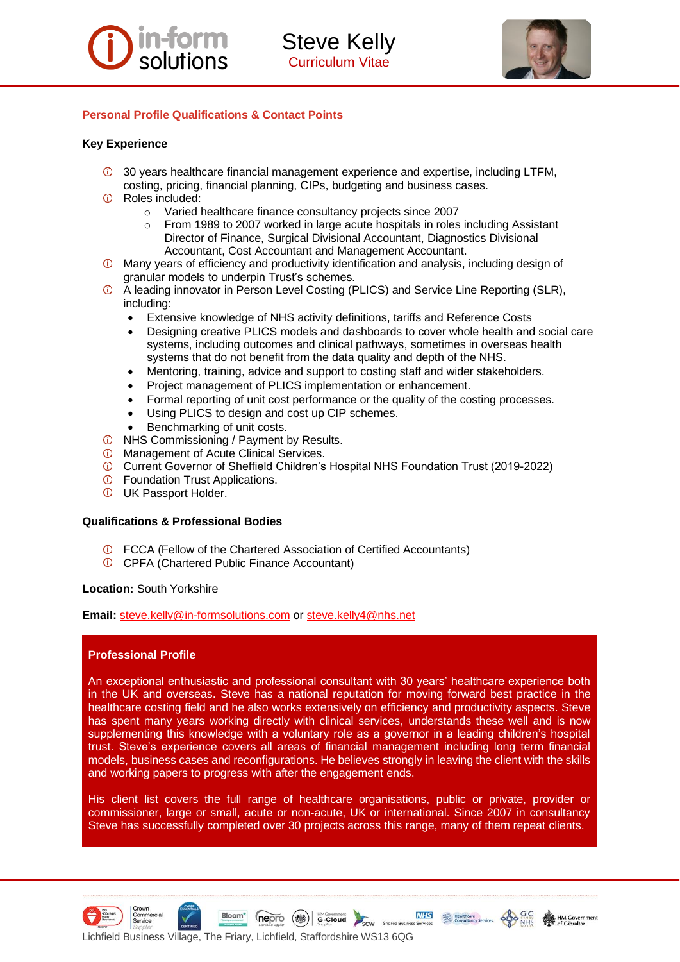



# **Personal Profile Qualifications & Contact Points**

# **Key Experience**

- 30 years healthcare financial management experience and expertise, including LTFM, costing, pricing, financial planning, CIPs, budgeting and business cases.
- Roles included:
	- o Varied healthcare finance consultancy projects since 2007
	- $\circ$  From 1989 to 2007 worked in large acute hospitals in roles including Assistant Director of Finance, Surgical Divisional Accountant, Diagnostics Divisional Accountant, Cost Accountant and Management Accountant.
- Many years of efficiency and productivity identification and analysis, including design of granular models to underpin Trust's schemes.
- A leading innovator in Person Level Costing (PLICS) and Service Line Reporting (SLR), including:
	- Extensive knowledge of NHS activity definitions, tariffs and Reference Costs
	- Designing creative PLICS models and dashboards to cover whole health and social care systems, including outcomes and clinical pathways, sometimes in overseas health systems that do not benefit from the data quality and depth of the NHS.
	- Mentoring, training, advice and support to costing staff and wider stakeholders.
	- Project management of PLICS implementation or enhancement.
	- Formal reporting of unit cost performance or the quality of the costing processes.
	- Using PLICS to design and cost up CIP schemes.
	- Benchmarking of unit costs.
- *O* NHS Commissioning / Payment by Results.
- *O* Management of Acute Clinical Services.
- Current Governor of Sheffield Children's Hospital NHS Foundation Trust (2019-2022)
- *O* Foundation Trust Applications.
- *O* UK Passport Holder.

## **Qualifications & Professional Bodies**

- FCCA (Fellow of the Chartered Association of Certified Accountants)
- **CPFA (Chartered Public Finance Accountant)**

## **Location:** South Yorkshire

**Email:** [steve.kelly@in-formsolutions.com](mailto:steve.kelly@in-formsolutions.com) or [steve.kelly4@nhs.net](mailto:steve.kelly4@nhs.net)

# **Professional Profile**

An exceptional enthusiastic and professional consultant with 30 years' healthcare experience both in the UK and overseas. Steve has a national reputation for moving forward best practice in the healthcare costing field and he also works extensively on efficiency and productivity aspects. Steve has spent many years working directly with clinical services, understands these well and is now supplementing this knowledge with a voluntary role as a governor in a leading children's hospital trust. Steve's experience covers all areas of financial management including long term financial models, business cases and reconfigurations. He believes strongly in leaving the client with the skills and working papers to progress with after the engagement ends.

His client list covers the full range of healthcare organisations, public or private, provider or commissioner, large or small, acute or non-acute, UK or international. Since 2007 in consultancy Steve has successfully completed over 30 projects across this range, many of them repeat clients.



Bloom<sup>\*</sup>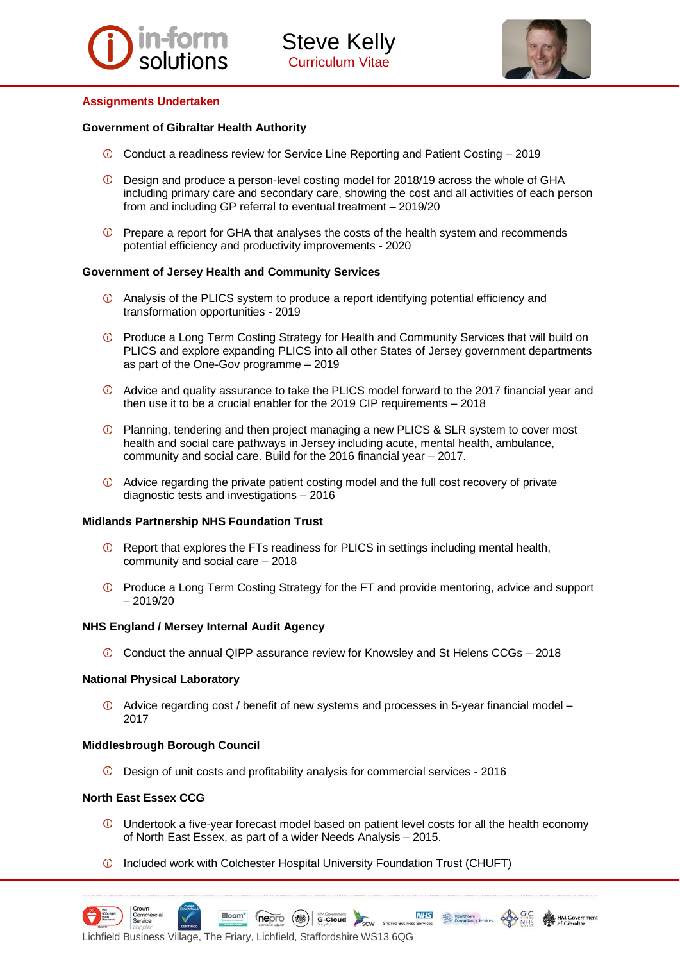



## **Assignments Undertaken**

## **Government of Gibraltar Health Authority**

- Conduct a readiness review for Service Line Reporting and Patient Costing 2019
- Design and produce a person-level costing model for 2018/19 across the whole of GHA including primary care and secondary care, showing the cost and all activities of each person from and including GP referral to eventual treatment – 2019/20
- $\overline{0}$  Prepare a report for GHA that analyses the costs of the health system and recommends potential efficiency and productivity improvements - 2020

## **Government of Jersey Health and Community Services**

- Analysis of the PLICS system to produce a report identifying potential efficiency and transformation opportunities - 2019
- **C** Produce a Long Term Costing Strategy for Health and Community Services that will build on PLICS and explore expanding PLICS into all other States of Jersey government departments as part of the One-Gov programme – 2019
- Advice and quality assurance to take the PLICS model forward to the 2017 financial year and then use it to be a crucial enabler for the 2019 CIP requirements – 2018
- Planning, tendering and then project managing a new PLICS & SLR system to cover most health and social care pathways in Jersey including acute, mental health, ambulance, community and social care. Build for the 2016 financial year – 2017.
- Advice regarding the private patient costing model and the full cost recovery of private diagnostic tests and investigations – 2016

## **Midlands Partnership NHS Foundation Trust**

- $\omega$ Report that explores the FTs readiness for PLICS in settings including mental health, community and social care – 2018
- Produce a Long Term Costing Strategy for the FT and provide mentoring, advice and support – 2019/20

## **NHS England / Mersey Internal Audit Agency**

Conduct the annual QIPP assurance review for Knowsley and St Helens CCGs – 2018

#### **National Physical Laboratory**

Advice regarding cost / benefit of new systems and processes in 5-year financial model – 2017

## **Middlesbrough Borough Council**

Design of unit costs and profitability analysis for commercial services - 2016

## **North East Essex CCG**

 $\overline{0}$  Undertook a five-year forecast model based on patient level costs for all the health economy of North East Essex, as part of a wider Needs Analysis – 2015.

**NHS** 

Shared B

Healthcare

**1** Included work with Colchester Hospital University Foundation Trust (CHUFT)



nepro

Bloom<sup>\*</sup>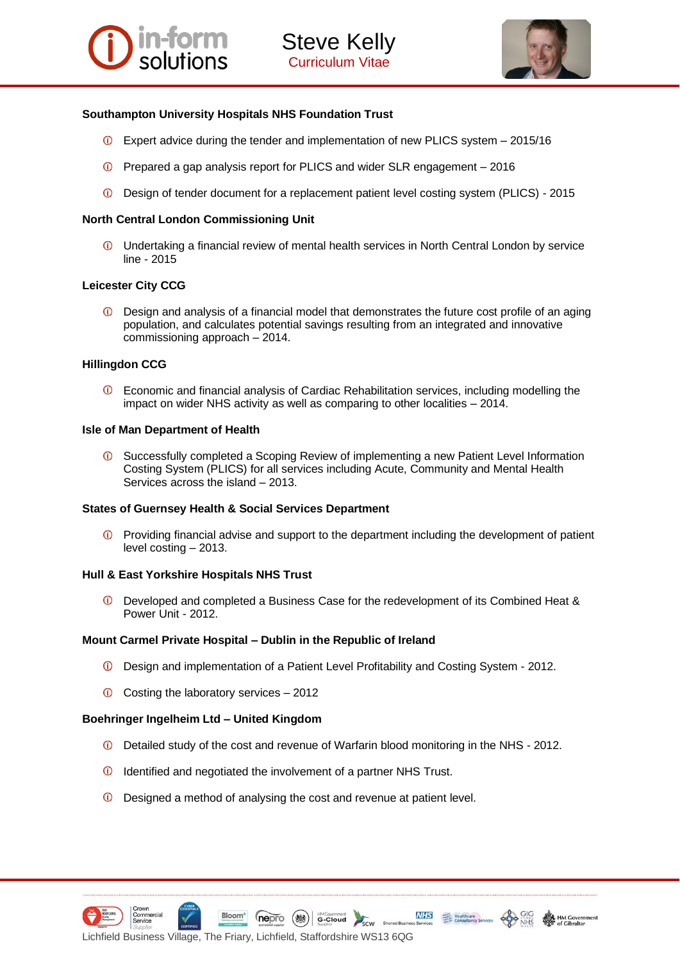

# **Southampton University Hospitals NHS Foundation Trust**

- $\overline{O}$  Expert advice during the tender and implementation of new PLICS system 2015/16
- Prepared a gap analysis report for PLICS and wider SLR engagement 2016
- Design of tender document for a replacement patient level costing system (PLICS) 2015

# **North Central London Commissioning Unit**

Undertaking a financial review of mental health services in North Central London by service line - 2015

# **Leicester City CCG**

 $\circ$ Design and analysis of a financial model that demonstrates the future cost profile of an aging population, and calculates potential savings resulting from an integrated and innovative commissioning approach – 2014.

# **Hillingdon CCG**

Economic and financial analysis of Cardiac Rehabilitation services, including modelling the  $\omega$ impact on wider NHS activity as well as comparing to other localities – 2014.

# **Isle of Man Department of Health**

Successfully completed a Scoping Review of implementing a new Patient Level Information Costing System (PLICS) for all services including Acute, Community and Mental Health Services across the island – 2013.

# **States of Guernsey Health & Social Services Department**

 $\circled{1}$  Providing financial advise and support to the department including the development of patient level costing – 2013.

# **Hull & East Yorkshire Hospitals NHS Trust**

Developed and completed a Business Case for the redevelopment of its Combined Heat &  $\bigcirc$ Power Unit - 2012.

# **Mount Carmel Private Hospital – Dublin in the Republic of Ireland**

- Design and implementation of a Patient Level Profitability and Costing System 2012.
- $\bullet$  Costing the laboratory services 2012

Bloom<sup>\*</sup>

# **Boehringer Ingelheim Ltd – United Kingdom**

Detailed study of the cost and revenue of Warfarin blood monitoring in the NHS - 2012.

HMGovernment

SCW

- *C* Identified and negotiated the involvement of a partner NHS Trust.
- Designed a method of analysing the cost and revenue at patient level.

(nepro (機)





**NHS** Healthcare

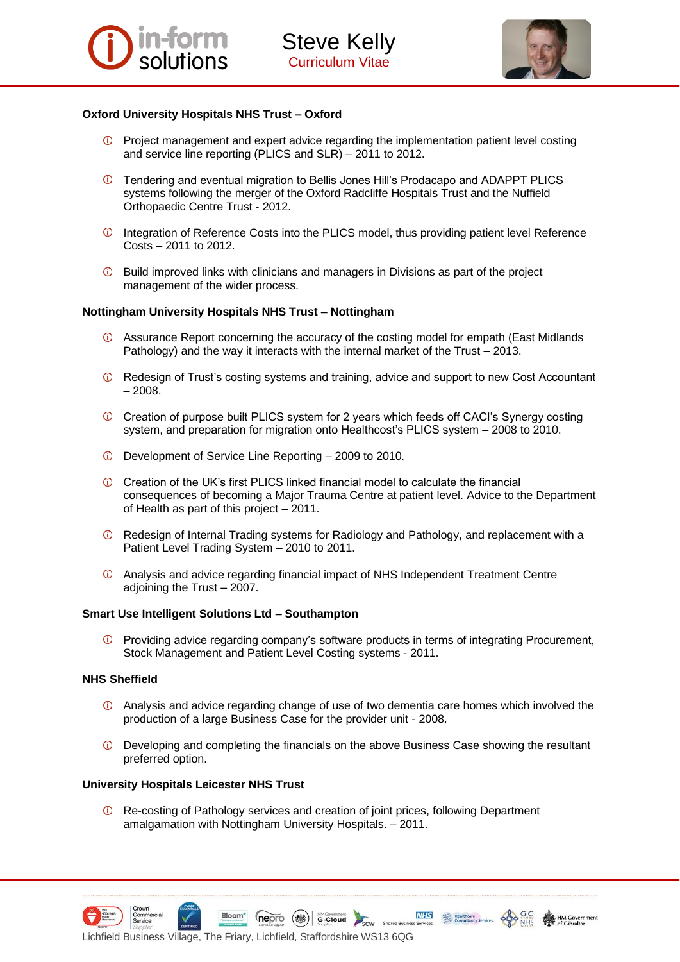

# **Oxford University Hospitals NHS Trust – Oxford**

- Project management and expert advice regarding the implementation patient level costing and service line reporting (PLICS and SLR) – 2011 to 2012.
- Tendering and eventual migration to Bellis Jones Hill's Prodacapo and ADAPPT PLICS systems following the merger of the Oxford Radcliffe Hospitals Trust and the Nuffield Orthopaedic Centre Trust - 2012.
- Integration of Reference Costs into the PLICS model, thus providing patient level Reference Costs – 2011 to 2012.
- $\overline{0}$  Build improved links with clinicians and managers in Divisions as part of the project management of the wider process.

# **Nottingham University Hospitals NHS Trust – Nottingham**

- Assurance Report concerning the accuracy of the costing model for empath (East Midlands Pathology) and the way it interacts with the internal market of the Trust – 2013.
- Redesign of Trust's costing systems and training, advice and support to new Cost Accountant – 2008.
- Creation of purpose built PLICS system for 2 years which feeds off CACI's Synergy costing system, and preparation for migration onto Healthcost's PLICS system – 2008 to 2010.
- Development of Service Line Reporting 2009 to 2010.
- Creation of the UK's first PLICS linked financial model to calculate the financial consequences of becoming a Major Trauma Centre at patient level. Advice to the Department of Health as part of this project – 2011.
- Redesign of Internal Trading systems for Radiology and Pathology, and replacement with a Patient Level Trading System – 2010 to 2011.
- Analysis and advice regarding financial impact of NHS Independent Treatment Centre adjoining the Trust – 2007.

# **Smart Use Intelligent Solutions Ltd – Southampton**

 $\circledcirc$ Providing advice regarding company's software products in terms of integrating Procurement, Stock Management and Patient Level Costing systems - 2011.

# **NHS Sheffield**

- Analysis and advice regarding change of use of two dementia care homes which involved the production of a large Business Case for the provider unit - 2008.
- Developing and completing the financials on the above Business Case showing the resultant preferred option.

**NHS** 

Shared B

Healthcare

# **University Hospitals Leicester NHS Trust**

Lichfield Business Village, The Friary, Lichfield, Staffordshire WS13 6QG

Bloom<sup>\*</sup>

Re-costing of Pathology services and creation of joint prices, following Department amalgamation with Nottingham University Hospitals. – 2011.

**nepro** (a) HMGovernment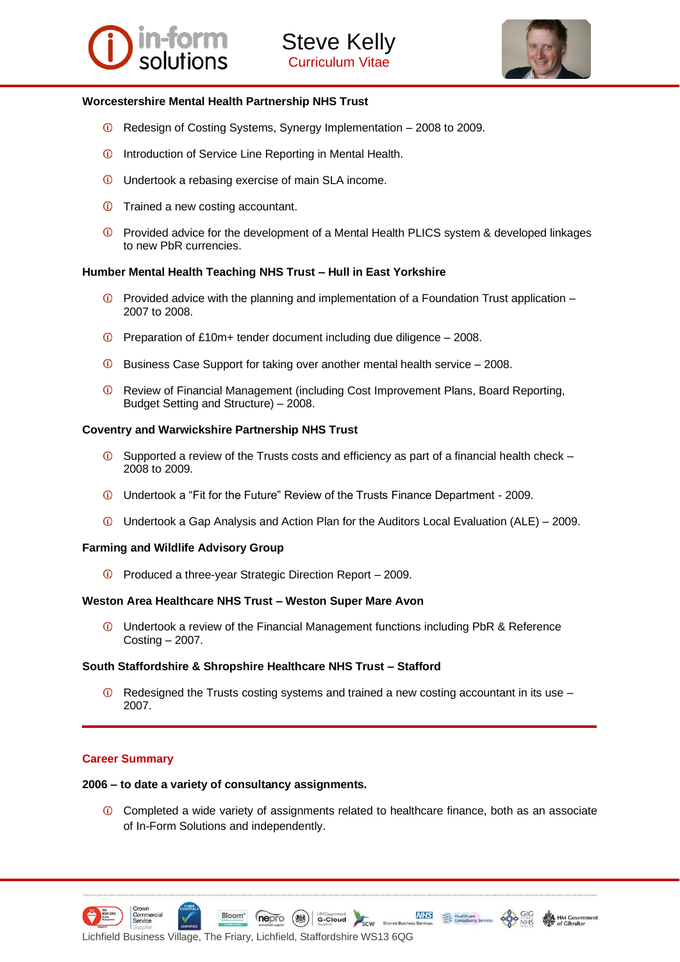



## **Worcestershire Mental Health Partnership NHS Trust**

- Redesign of Costing Systems, Synergy Implementation 2008 to 2009.
- **ID** Introduction of Service Line Reporting in Mental Health.
- Undertook a rebasing exercise of main SLA income.
- Trained a new costing accountant.
- Provided advice for the development of a Mental Health PLICS system & developed linkages to new PbR currencies.

## **Humber Mental Health Teaching NHS Trust – Hull in East Yorkshire**

- $\circled{1}$  Provided advice with the planning and implementation of a Foundation Trust application 2007 to 2008.
- $\overline{0}$  Preparation of £10m+ tender document including due diligence 2008.
- Business Case Support for taking over another mental health service 2008.
- Review of Financial Management (including Cost Improvement Plans, Board Reporting, Budget Setting and Structure) – 2008.

## **Coventry and Warwickshire Partnership NHS Trust**

- $\bullet$  Supported a review of the Trusts costs and efficiency as part of a financial health check 2008 to 2009.
- Undertook a "Fit for the Future" Review of the Trusts Finance Department 2009.
- $\overline{0}$  Undertook a Gap Analysis and Action Plan for the Auditors Local Evaluation (ALE) 2009.

## **Farming and Wildlife Advisory Group**

Produced a three-year Strategic Direction Report – 2009.

## **Weston Area Healthcare NHS Trust – Weston Super Mare Avon**

Undertook a review of the Financial Management functions including PbR & Reference Costing – 2007.

## **South Staffordshire & Shropshire Healthcare NHS Trust – Stafford**

 $\overline{O}$  Redesigned the Trusts costing systems and trained a new costing accountant in its use – 2007.

# **Career Summary**

## **2006 – to date a variety of consultancy assignments.**

Completed a wide variety of assignments related to healthcare finance, both as an associate of In-Form Solutions and independently.

MHS Healthcare

**nepro** (a) decloud



Bloom<sup>\*</sup>